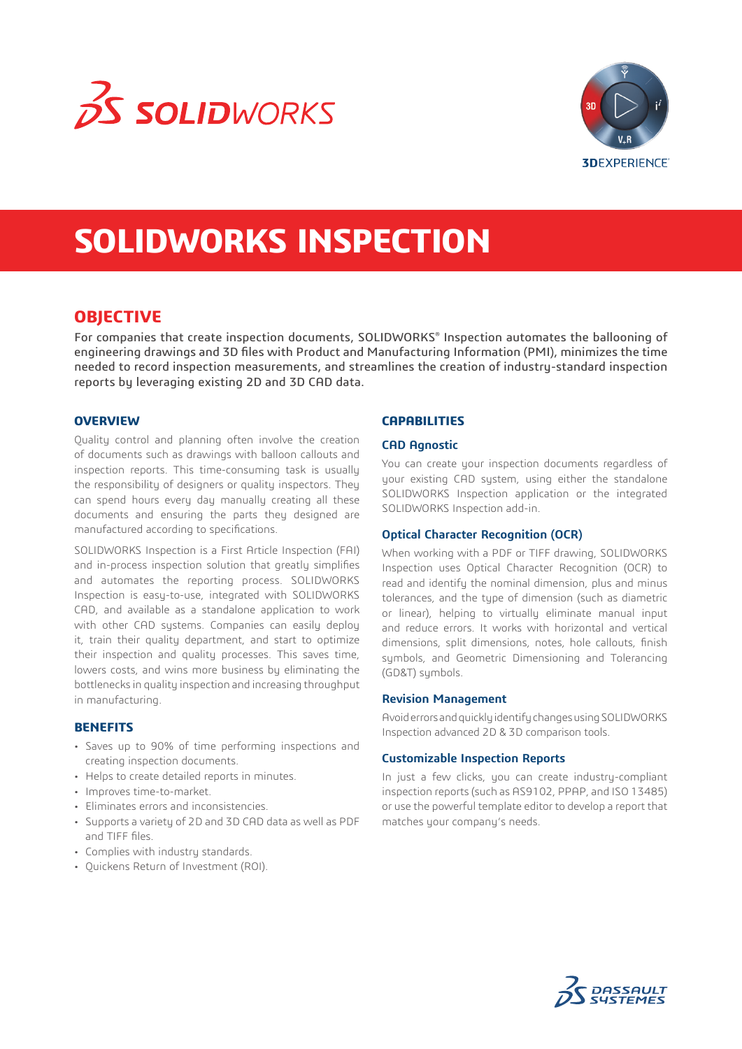



# **SOLIDWORKS INSPECTION**

# **OBJECTIVE**

For companies that create inspection documents, SOLIDWORKS® Inspection automates the ballooning of engineering drawings and 3D files with Product and Manufacturing Information (PMI), minimizes the time needed to record inspection measurements, and streamlines the creation of industry-standard inspection reports by leveraging existing 2D and 3D CAD data.

#### **OVERVIEW**

Quality control and planning often involve the creation of documents such as drawings with balloon callouts and inspection reports. This time-consuming task is usually the responsibility of designers or quality inspectors. They can spend hours every day manually creating all these documents and ensuring the parts they designed are manufactured according to specifications.

SOLIDWORKS Inspection is a First Article Inspection (FAI) and in-process inspection solution that greatly simplifies and automates the reporting process. SOLIDWORKS Inspection is easy-to-use, integrated with SOLIDWORKS CAD, and available as a standalone application to work with other CAD systems. Companies can easily deploy it, train their quality department, and start to optimize their inspection and quality processes. This saves time, lowers costs, and wins more business by eliminating the bottlenecks in quality inspection and increasing throughput in manufacturing.

#### **BENEFITS**

- Saves up to 90% of time performing inspections and creating inspection documents.
- Helps to create detailed reports in minutes.
- Improves time-to-market.
- Eliminates errors and inconsistencies.
- Supports a variety of 2D and 3D CAD data as well as PDF and TIFF files.
- Complies with industry standards.
- Quickens Return of Investment (ROI).

## **CAPABILITIES**

#### **CAD Agnostic**

You can create your inspection documents regardless of your existing CAD system, using either the standalone SOLIDWORKS Inspection application or the integrated SOLIDWORKS Inspection add-in.

#### **Optical Character Recognition (OCR)**

When working with a PDF or TIFF drawing, SOLIDWORKS Inspection uses Optical Character Recognition (OCR) to read and identify the nominal dimension, plus and minus tolerances, and the type of dimension (such as diametric or linear), helping to virtually eliminate manual input and reduce errors. It works with horizontal and vertical dimensions, split dimensions, notes, hole callouts, finish symbols, and Geometric Dimensioning and Tolerancing (GD&T) symbols.

#### **Revision Management**

Avoid errors and quickly identify changes using SOLIDWORKS Inspection advanced 2D & 3D comparison tools.

#### **Customizable Inspection Reports**

In just a few clicks, you can create industry-compliant inspection reports (such as AS9102, PPAP, and ISO 13485) or use the powerful template editor to develop a report that matches your company's needs.